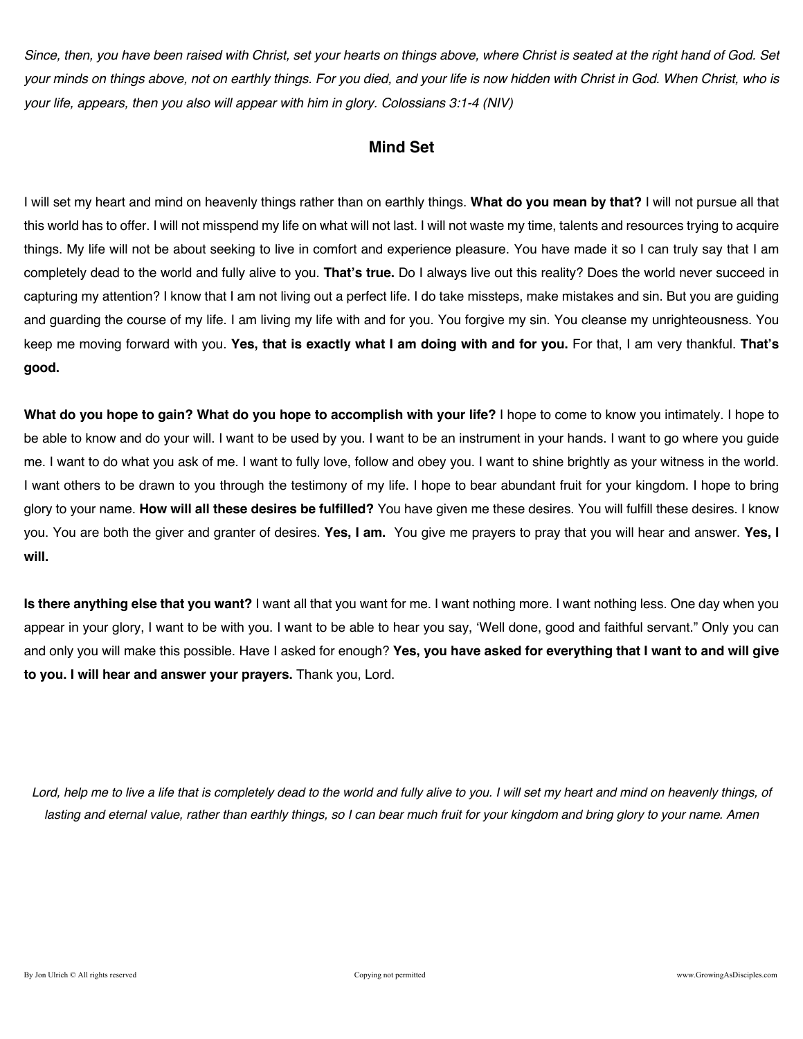*Since, then, you have been raised with Christ, set your hearts on things above, where Christ is seated at the right hand of God. Set your minds on things above, not on earthly things. For you died, and your life is now hidden with Christ in God. When Christ, who is your life, appears, then you also will appear with him in glory. Colossians 3:1-4 (NIV)* 

### **Mind Set**

I will set my heart and mind on heavenly things rather than on earthly things. **What do you mean by that?** I will not pursue all that this world has to offer. I will not misspend my life on what will not last. I will not waste my time, talents and resources trying to acquire things. My life will not be about seeking to live in comfort and experience pleasure. You have made it so I can truly say that I am completely dead to the world and fully alive to you. **That's true.** Do I always live out this reality? Does the world never succeed in capturing my attention? I know that I am not living out a perfect life. I do take missteps, make mistakes and sin. But you are guiding and guarding the course of my life. I am living my life with and for you. You forgive my sin. You cleanse my unrighteousness. You keep me moving forward with you. **Yes, that is exactly what I am doing with and for you.** For that, I am very thankful. **That's good.**

**What do you hope to gain? What do you hope to accomplish with your life?** I hope to come to know you intimately. I hope to be able to know and do your will. I want to be used by you. I want to be an instrument in your hands. I want to go where you guide me. I want to do what you ask of me. I want to fully love, follow and obey you. I want to shine brightly as your witness in the world. I want others to be drawn to you through the testimony of my life. I hope to bear abundant fruit for your kingdom. I hope to bring glory to your name. **How will all these desires be fulfilled?** You have given me these desires. You will fulfill these desires. I know you. You are both the giver and granter of desires. **Yes, I am.** You give me prayers to pray that you will hear and answer. **Yes, I will.**

**Is there anything else that you want?** I want all that you want for me. I want nothing more. I want nothing less. One day when you appear in your glory, I want to be with you. I want to be able to hear you say, 'Well done, good and faithful servant." Only you can and only you will make this possible. Have I asked for enough? **Yes, you have asked for everything that I want to and will give to you. I will hear and answer your prayers.** Thank you, Lord.

Lord, help me to live a life that is completely dead to the world and fully alive to you. I will set my heart and mind on heavenly things, of *lasting and eternal value, rather than earthly things, so I can bear much fruit for your kingdom and bring glory to your name. Amen*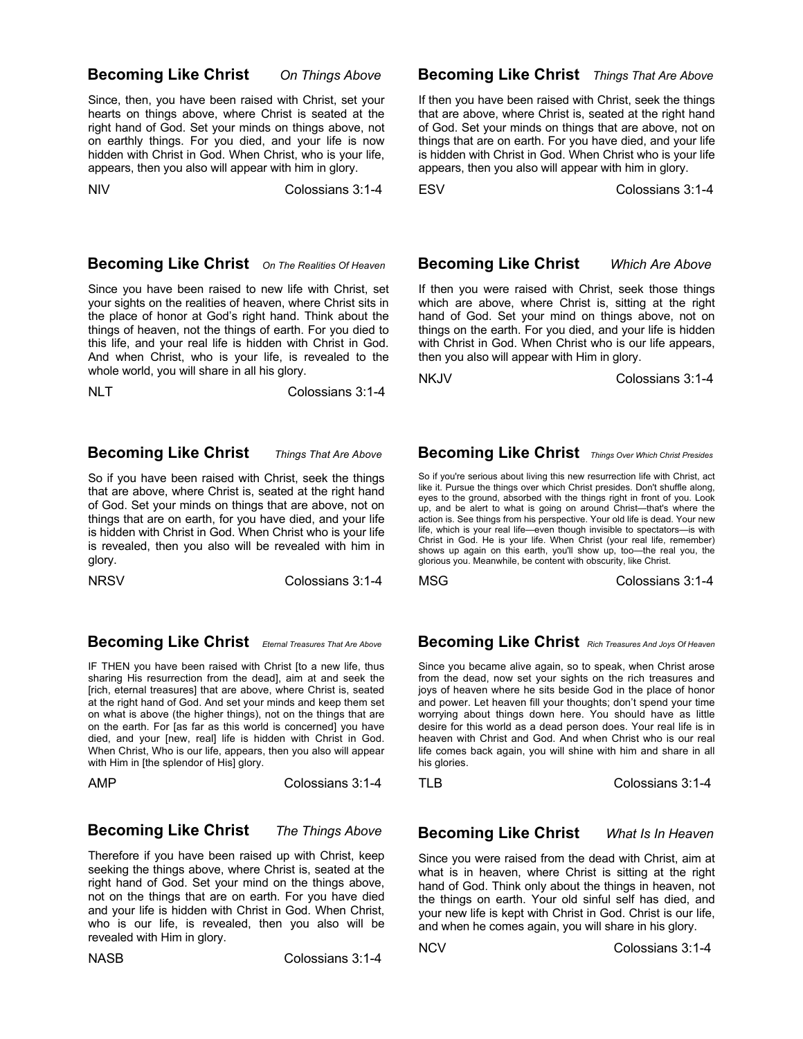#### **Becoming Like Christ** *On Things Above*

Since, then, you have been raised with Christ, set your hearts on things above, where Christ is seated at the right hand of God. Set your minds on things above, not on earthly things. For you died, and your life is now hidden with Christ in God. When Christ, who is your life, appears, then you also will appear with him in glory.

NIV Colossians 3:1-4

#### **Becoming Like Christ** *On The Realities Of Heaven*

Since you have been raised to new life with Christ, set your sights on the realities of heaven, where Christ sits in the place of honor at God's right hand. Think about the things of heaven, not the things of earth. For you died to this life, and your real life is hidden with Christ in God. And when Christ, who is your life, is revealed to the whole world, you will share in all his glory.

NLT Colossians 3:1-4

#### **Becoming Like Christ** *Things That Are Above*

So if you have been raised with Christ, seek the things that are above, where Christ is, seated at the right hand of God. Set your minds on things that are above, not on things that are on earth, for you have died, and your life is hidden with Christ in God. When Christ who is your life is revealed, then you also will be revealed with him in glory.

NRSV Colossians 3:1-4

#### **Becoming Like Christ** *Eternal Treasures That Are Above*

IF THEN you have been raised with Christ [to a new life, thus sharing His resurrection from the dead], aim at and seek the [rich, eternal treasures] that are above, where Christ is, seated at the right hand of God. And set your minds and keep them set on what is above (the higher things), not on the things that are on the earth. For [as far as this world is concerned] you have died, and your [new, real] life is hidden with Christ in God. When Christ, Who is our life, appears, then you also will appear with Him in [the splendor of His] glory.

AMP Colossians 3:1-4

#### **Becoming Like Christ** *The Things Above*

Therefore if you have been raised up with Christ, keep seeking the things above, where Christ is, seated at the right hand of God. Set your mind on the things above, not on the things that are on earth. For you have died and your life is hidden with Christ in God. When Christ, who is our life, is revealed, then you also will be revealed with Him in glory.

NASB Colossians 3:1-4

#### **Becoming Like Christ** *Things That Are Above*

If then you have been raised with Christ, seek the things that are above, where Christ is, seated at the right hand of God. Set your minds on things that are above, not on things that are on earth. For you have died, and your life is hidden with Christ in God. When Christ who is your life appears, then you also will appear with him in glory.

ESV Colossians 3:1-4

 **Becoming Like Christ** *Which Are Above*

If then you were raised with Christ, seek those things which are above, where Christ is, sitting at the right hand of God. Set your mind on things above, not on things on the earth. For you died, and your life is hidden with Christ in God. When Christ who is our life appears, then you also will appear with Him in glory.

NKJV Colossians 3:1-4

### **Becoming Like Christ** *Things Over Which Christ Presides*

So if you're serious about living this new resurrection life with Christ, act like it. Pursue the things over which Christ presides. Don't shuffle along, eyes to the ground, absorbed with the things right in front of you. Look up, and be alert to what is going on around Christ—that's where the action is. See things from his perspective. Your old life is dead. Your new life, which is your real life—even though invisible to spectators—is with Christ in God. He is your life. When Christ (your real life, remember) shows up again on this earth, you'll show up, too—the real you, the glorious you. Meanwhile, be content with obscurity, like Christ.

#### MSG Colossians 3:1-4

### **Becoming Like Christ** *Rich Treasures And Joys Of Heaven*

Since you became alive again, so to speak, when Christ arose from the dead, now set your sights on the rich treasures and joys of heaven where he sits beside God in the place of honor and power. Let heaven fill your thoughts; don't spend your time worrying about things down here. You should have as little desire for this world as a dead person does. Your real life is in heaven with Christ and God. And when Christ who is our real life comes back again, you will shine with him and share in all his glories.

TLB Colossians 3:1-4

#### **Becoming Like Christ** *What Is In Heaven*

Since you were raised from the dead with Christ, aim at what is in heaven, where Christ is sitting at the right hand of God. Think only about the things in heaven, not the things on earth. Your old sinful self has died, and your new life is kept with Christ in God. Christ is our life, and when he comes again, you will share in his glory.

NCV Colossians 3:1-4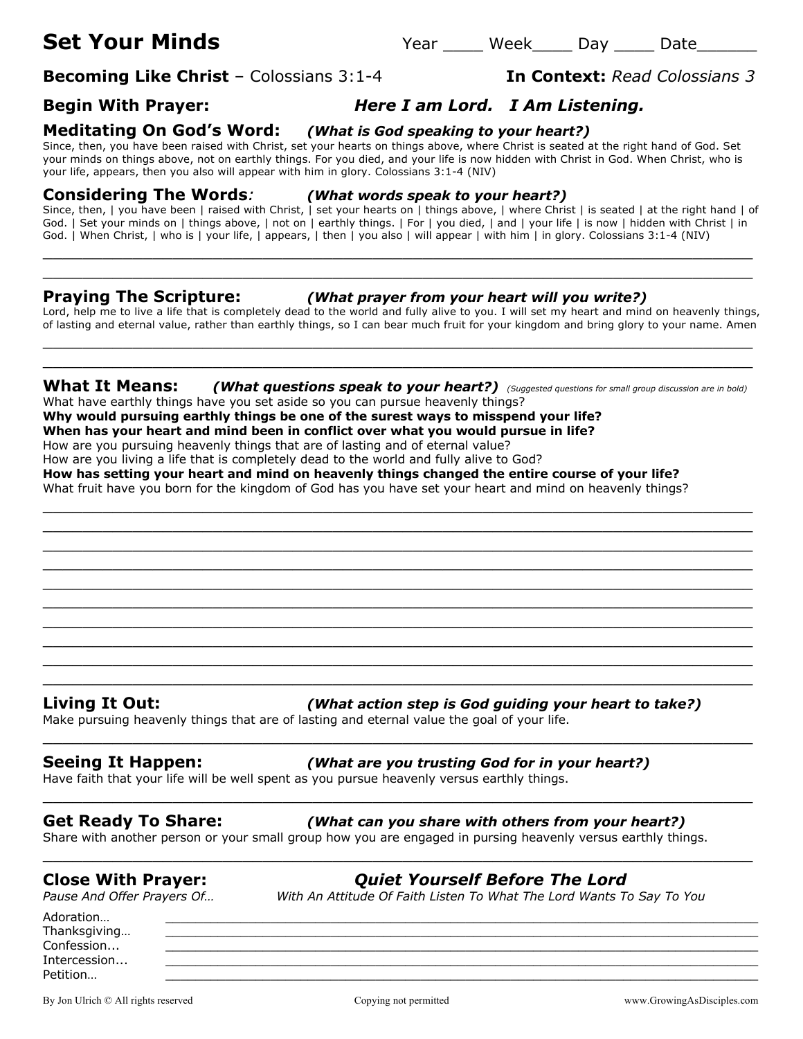# **Set Your Minds** Year \_\_\_\_ Week\_\_\_\_ Day \_\_\_\_ Date\_\_\_\_\_\_

**Becoming Like Christ** – Colossians 3:1-4 **In Context:** *Read Colossians 3*

## **Begin With Prayer:** *Here I am Lord. I Am Listening.*

**Meditating On God's Word:** *(What is God speaking to your heart?)*

Since, then, you have been raised with Christ, set your hearts on things above, where Christ is seated at the right hand of God. Set your minds on things above, not on earthly things. For you died, and your life is now hidden with Christ in God. When Christ, who is your life, appears, then you also will appear with him in glory. Colossians 3:1-4 (NIV)

#### **Considering The Words***: (What words speak to your heart?)*

Since, then, | you have been | raised with Christ, | set your hearts on | things above, | where Christ | is seated | at the right hand | of God. | Set your minds on | things above, | not on | earthly things. | For | you died, | and | your life | is now | hidden with Christ | in God. | When Christ, | who is | your life, | appears, | then | you also | will appear | with him | in glory. Colossians 3:1-4 (NIV)

\_\_\_\_\_\_\_\_\_\_\_\_\_\_\_\_\_\_\_\_\_\_\_\_\_\_\_\_\_\_\_\_\_\_\_\_\_\_\_\_\_\_\_\_\_\_\_\_\_\_\_\_\_\_\_\_\_\_\_\_\_\_\_\_\_\_\_\_\_\_\_ \_\_\_\_\_\_\_\_\_\_\_\_\_\_\_\_\_\_\_\_\_\_\_\_\_\_\_\_\_\_\_\_\_\_\_\_\_\_\_\_\_\_\_\_\_\_\_\_\_\_\_\_\_\_\_\_\_\_\_\_\_\_\_\_\_\_\_\_\_\_\_

### **Praying The Scripture:** *(What prayer from your heart will you write?)*

Lord, help me to live a life that is completely dead to the world and fully alive to you. I will set my heart and mind on heavenly things, of lasting and eternal value, rather than earthly things, so I can bear much fruit for your kingdom and bring glory to your name. Amen \_\_\_\_\_\_\_\_\_\_\_\_\_\_\_\_\_\_\_\_\_\_\_\_\_\_\_\_\_\_\_\_\_\_\_\_\_\_\_\_\_\_\_\_\_\_\_\_\_\_\_\_\_\_\_\_\_\_\_\_\_\_\_\_\_\_\_\_\_\_\_

### **What It Means:** *(What questions speak to your heart?) (Suggested questions for small group discussion are in bold)*

\_\_\_\_\_\_\_\_\_\_\_\_\_\_\_\_\_\_\_\_\_\_\_\_\_\_\_\_\_\_\_\_\_\_\_\_\_\_\_\_\_\_\_\_\_\_\_\_\_\_\_\_\_\_\_\_\_\_\_\_\_\_\_\_\_\_\_\_\_\_\_  $\_$  . The contribution of the contribution of  $\mathcal{L}_1$  ,  $\mathcal{L}_2$  ,  $\mathcal{L}_3$  ,  $\mathcal{L}_4$  ,  $\mathcal{L}_5$  ,  $\mathcal{L}_6$  ,  $\mathcal{L}_7$  ,  $\mathcal{L}_8$  ,  $\mathcal{L}_9$  ,  $\mathcal{L}_1$  ,  $\mathcal{L}_2$  ,  $\mathcal{L}_3$  ,  $\mathcal{L}_5$  ,  $\mathcal{L}_6$  ,  $\mathcal{L}_$  $\_$  . The contribution of the contribution of  $\mathcal{L}_1$  ,  $\mathcal{L}_2$  ,  $\mathcal{L}_3$  ,  $\mathcal{L}_4$  ,  $\mathcal{L}_5$  ,  $\mathcal{L}_6$  ,  $\mathcal{L}_7$  ,  $\mathcal{L}_8$  ,  $\mathcal{L}_9$  ,  $\mathcal{L}_1$  ,  $\mathcal{L}_2$  ,  $\mathcal{L}_3$  ,  $\mathcal{L}_5$  ,  $\mathcal{L}_6$  ,  $\mathcal{L}_$  $\_$  . The contribution of the contribution of  $\mathcal{L}_1$  ,  $\mathcal{L}_2$  ,  $\mathcal{L}_3$  ,  $\mathcal{L}_4$  ,  $\mathcal{L}_5$  ,  $\mathcal{L}_6$  ,  $\mathcal{L}_7$  ,  $\mathcal{L}_8$  ,  $\mathcal{L}_9$  ,  $\mathcal{L}_1$  ,  $\mathcal{L}_2$  ,  $\mathcal{L}_3$  ,  $\mathcal{L}_5$  ,  $\mathcal{L}_6$  ,  $\mathcal{L}_$  $\_$  . The contribution of the contribution of  $\mathcal{L}_1$  ,  $\mathcal{L}_2$  ,  $\mathcal{L}_3$  ,  $\mathcal{L}_4$  ,  $\mathcal{L}_5$  ,  $\mathcal{L}_6$  ,  $\mathcal{L}_7$  ,  $\mathcal{L}_8$  ,  $\mathcal{L}_9$  ,  $\mathcal{L}_1$  ,  $\mathcal{L}_2$  ,  $\mathcal{L}_3$  ,  $\mathcal{L}_5$  ,  $\mathcal{L}_6$  ,  $\mathcal{L}_$  $\_$  . The contribution of the contribution of  $\mathcal{L}_1$  ,  $\mathcal{L}_2$  ,  $\mathcal{L}_3$  ,  $\mathcal{L}_4$  ,  $\mathcal{L}_5$  ,  $\mathcal{L}_6$  ,  $\mathcal{L}_7$  ,  $\mathcal{L}_8$  ,  $\mathcal{L}_9$  ,  $\mathcal{L}_1$  ,  $\mathcal{L}_2$  ,  $\mathcal{L}_3$  ,  $\mathcal{L}_5$  ,  $\mathcal{L}_6$  ,  $\mathcal{L}_$  $\_$  . The contribution of the contribution of  $\mathcal{L}_1$  ,  $\mathcal{L}_2$  ,  $\mathcal{L}_3$  ,  $\mathcal{L}_4$  ,  $\mathcal{L}_5$  ,  $\mathcal{L}_6$  ,  $\mathcal{L}_7$  ,  $\mathcal{L}_8$  ,  $\mathcal{L}_9$  ,  $\mathcal{L}_1$  ,  $\mathcal{L}_2$  ,  $\mathcal{L}_3$  ,  $\mathcal{L}_5$  ,  $\mathcal{L}_6$  ,  $\mathcal{L}_$  $\_$  . The contribution of the contribution of  $\mathcal{L}_1$  ,  $\mathcal{L}_2$  ,  $\mathcal{L}_3$  ,  $\mathcal{L}_4$  ,  $\mathcal{L}_5$  ,  $\mathcal{L}_6$  ,  $\mathcal{L}_7$  ,  $\mathcal{L}_8$  ,  $\mathcal{L}_9$  ,  $\mathcal{L}_1$  ,  $\mathcal{L}_2$  ,  $\mathcal{L}_3$  ,  $\mathcal{L}_5$  ,  $\mathcal{L}_6$  ,  $\mathcal{L}_$  $\_$  . The contribution of the contribution of  $\mathcal{L}_1$  ,  $\mathcal{L}_2$  ,  $\mathcal{L}_3$  ,  $\mathcal{L}_4$  ,  $\mathcal{L}_5$  ,  $\mathcal{L}_6$  ,  $\mathcal{L}_7$  ,  $\mathcal{L}_8$  ,  $\mathcal{L}_9$  ,  $\mathcal{L}_1$  ,  $\mathcal{L}_2$  ,  $\mathcal{L}_3$  ,  $\mathcal{L}_5$  ,  $\mathcal{L}_6$  ,  $\mathcal{L}_$  $\_$  . The contribution of the contribution of  $\mathcal{L}_1$  ,  $\mathcal{L}_2$  ,  $\mathcal{L}_3$  ,  $\mathcal{L}_4$  ,  $\mathcal{L}_5$  ,  $\mathcal{L}_6$  ,  $\mathcal{L}_7$  ,  $\mathcal{L}_8$  ,  $\mathcal{L}_9$  ,  $\mathcal{L}_1$  ,  $\mathcal{L}_2$  ,  $\mathcal{L}_3$  ,  $\mathcal{L}_5$  ,  $\mathcal{L}_6$  ,  $\mathcal{L}_$ 

 $\_$  , and the set of the set of the set of the set of the set of the set of the set of the set of the set of the set of the set of the set of the set of the set of the set of the set of the set of the set of the set of th

What have earthly things have you set aside so you can pursue heavenly things?

**Why would pursuing earthly things be one of the surest ways to misspend your life? When has your heart and mind been in conflict over what you would pursue in life?**

How are you pursuing heavenly things that are of lasting and of eternal value?

How are you living a life that is completely dead to the world and fully alive to God?

#### **How has setting your heart and mind on heavenly things changed the entire course of your life?**

What fruit have you born for the kingdom of God has you have set your heart and mind on heavenly things?

### **Living It Out:** *(What action step is God guiding your heart to take?)*

Make pursuing heavenly things that are of lasting and eternal value the goal of your life.

### **Seeing It Happen:** *(What are you trusting God for in your heart?)*

Have faith that your life will be well spent as you pursue heavenly versus earthly things.

#### **Get Ready To Share:** *(What can you share with others from your heart?)*

Share with another person or your small group how you are engaged in pursing heavenly versus earthly things.

\_\_\_\_\_\_\_\_\_\_\_\_\_\_\_\_\_\_\_\_\_\_\_\_\_\_\_\_\_\_\_\_\_\_\_\_\_\_\_\_\_\_\_\_\_\_\_\_\_\_\_\_\_\_\_\_\_\_\_\_\_\_\_\_\_\_\_\_\_\_\_

\_\_\_\_\_\_\_\_\_\_\_\_\_\_\_\_\_\_\_\_\_\_\_\_\_\_\_\_\_\_\_\_\_\_\_\_\_\_\_\_\_\_\_\_\_\_\_\_\_\_\_\_\_\_\_\_\_\_\_\_\_\_\_\_\_\_\_\_\_\_\_

\_\_\_\_\_\_\_\_\_\_\_\_\_\_\_\_\_\_\_\_\_\_\_\_\_\_\_\_\_\_\_\_\_\_\_\_\_\_\_\_\_\_\_\_\_\_\_\_\_\_\_\_\_\_\_\_\_\_\_\_\_\_\_\_\_\_\_\_\_\_\_

### **Close With Prayer:** *Quiet Yourself Before The Lord*

*Pause And Offer Prayers Of… With An Attitude Of Faith Listen To What The Lord Wants To Say To You*

Adoration… \_\_\_\_\_\_\_\_\_\_\_\_\_\_\_\_\_\_\_\_\_\_\_\_\_\_\_\_\_\_\_\_\_\_\_\_\_\_\_\_\_\_\_\_\_\_\_\_\_\_\_\_\_\_\_\_\_\_\_\_\_\_\_\_\_\_\_\_\_\_\_\_\_\_\_\_\_\_\_ Thanksgiving...  $\textsf{Confession...}\qquad \qquad \underline{\hspace{25pt}}$ Intercession... \_\_\_\_\_\_\_\_\_\_\_\_\_\_\_\_\_\_\_\_\_\_\_\_\_\_\_\_\_\_\_\_\_\_\_\_\_\_\_\_\_\_\_\_\_\_\_\_\_\_\_\_\_\_\_\_\_\_\_\_\_\_\_\_\_\_\_\_\_\_\_\_\_\_\_\_\_\_\_ Petition… \_\_\_\_\_\_\_\_\_\_\_\_\_\_\_\_\_\_\_\_\_\_\_\_\_\_\_\_\_\_\_\_\_\_\_\_\_\_\_\_\_\_\_\_\_\_\_\_\_\_\_\_\_\_\_\_\_\_\_\_\_\_\_\_\_\_\_\_\_\_\_\_\_\_\_\_\_\_\_